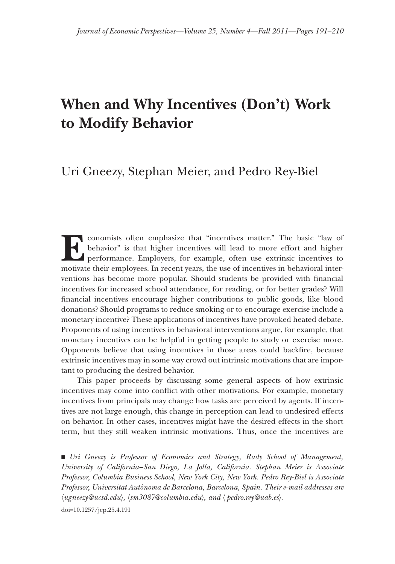# **When and Why Incentives (Don't) Work to Modify Behavior**

## Uri Gneezy, Stephan Meier, and Pedro Rey-Biel

**Ex** conomists often emphasize that "incentives matter." The basic "law of behavior" is that higher incentives will lead to more effort and higher performance. Employers, for example, often use extrinsic incentives to motivate their employees. In recent years, the use of incentives in behavioral interventions has become more popular. Should students be provided with financial incentives for increased school attendance, for reading, or for better grades? Will financial incentives encourage higher contributions to public goods, like blood donations? Should programs to reduce smoking or to encourage exercise include a monetary incentive? These applications of incentives have provoked heated debate. Proponents of using incentives in behavioral interventions argue, for example, that monetary incentives can be helpful in getting people to study or exercise more. Opponents believe that using incentives in those areas could backfire, because extrinsic incentives may in some way crowd out intrinsic motivations that are important to producing the desired behavior.

This paper proceeds by discussing some general aspects of how extrinsic his paper proceeds by discussing some general aspects of how extrinsic incentives may come into conflict with other motivations. For example, monetary incentives from principals may change how tasks are perceived by agents. If incentives are not large enough, this change in perception can lead to undesired effects on behavior. In other cases, incentives might have the desired effects in the short term, but they still weaken intrinsic motivations. Thus, once the incentives are

■ Uri Gneezy is Professor of Economics and Strategy, Rady School of Management, University of California–San Diego, La Jolla, California. Stephan Meier is Associate Professor, Columbia Business School, New York City, New York. Pedro Rey-Biel is Associate Professor, Universitat Autònoma de Barcelona, Barcelona, Spain. Their e-mail addresses are 〈*ugneezy@ucsd.edu gneezy@ucsd.edu*〉*,* 〈*sm3087@columbia.edu m3087@columbia.edu*〉*, and*〈 *pedro.rey@uab.es* 〉*.*

doi=10.1257/jep.25.4.191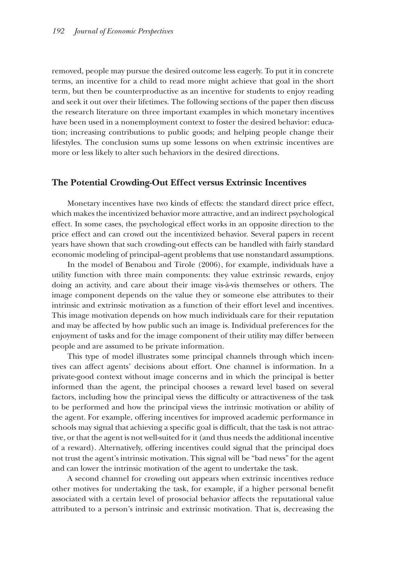removed, people may pursue the desired outcome less eagerly. To put it in concrete terms, an incentive for a child to read more might achieve that goal in the short term, but then be counterproductive as an incentive for students to enjoy reading and seek it out over their lifetimes. The following sections of the paper then discuss the research literature on three important examples in which monetary incentives have been used in a nonemployment context to foster the desired behavior: education; increasing contributions to public goods; and helping people change their lifestyles. The conclusion sums up some lessons on when extrinsic incentives are more or less likely to alter such behaviors in the desired directions.

## **The Potential Crowding-Out Effect versus Extrinsic Incentives**

Monetary incentives have two kinds of effects: the standard direct price effect, which makes the incentivized behavior more attractive, and an indirect psychological effect. In some cases, the psychological effect works in an opposite direction to the ffect. In some cases, the psychological effect works in an opposite direction to the price effect and can crowd out the incentivized behavior. Several papers in recent rice effect and can crowd out the incentivized behavior. Several papers in recent years have shown that such crowding-out effects can be handled with fairly standard economic modeling of principal–agent problems that use nonstandard assumptions.

In the model of Benabou and Tirole (2006), for example, individuals have a utility function with three main components: they value extrinsic rewards, enjoy doing an activity, and care about their image vis-à-vis themselves or others. The image component depends on the value they or someone else attributes to their intrinsic and extrinsic motivation as a function of their effort level and incentives. This image motivation depends on how much individuals care for their reputation and may be affected by how public such an image is. Individual preferences for the enjoyment of tasks and for the image component of their utility may differ between people and are assumed to be private information.

This type of model illustrates some principal channels through which incentives can affect agents' decisions about effort. One channel is information. In a private-good context without image concerns and in which the principal is better informed than the agent, the principal chooses a reward level based on several factors, including how the principal views the difficulty or attractiveness of the task to be performed and how the principal views the intrinsic motivation or ability of the agent. For example, offering incentives for improved academic performance in schools may signal that achieving a specific goal is difficult, that the task is not attractive, or that the agent is not well-suited for it (and thus needs the additional incentive of a reward). Alternatively, offering incentives could signal that the principal does f a reward). Alternatively, offering incentives could signal that the principal does not trust the agent's intrinsic motivation. This signal will be "bad news" for the agent and can lower the intrinsic motivation of the agent to undertake the task.

A second channel for crowding out appears when extrinsic incentives reduce other motives for undertaking the task, for example, if a higher personal benefit associated with a certain level of prosocial behavior affects the reputational value attributed to a person's intrinsic and extrinsic motivation. That is, decreasing the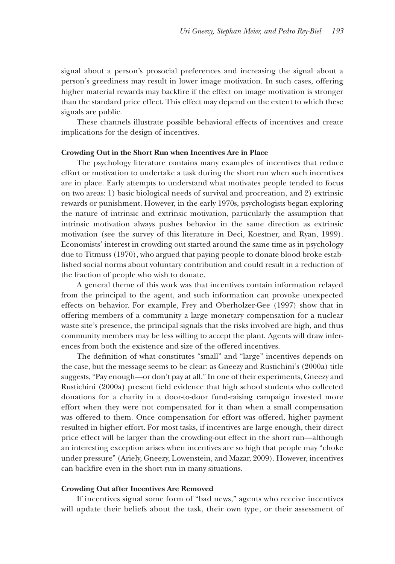signal about a person's prosocial preferences and increasing the signal about a person's greediness may result in lower image motivation. In such cases, offering higher material rewards may backfire if the effect on image motivation is stronger than the standard price effect. This effect may depend on the extent to which these signals are public.

These channels illustrate possible behavioral effects of incentives and create implications for the design of incentives.

#### **Crowding Out in the Short Run when Incentives Are in Place rowding Out in the Short Run when Incentives Are in**

The psychology literature contains many examples of incentives that reduce effort or motivation to undertake a task during the short run when such incentives are in place. Early attempts to understand what motivates people tended to focus on two areas: 1) basic biological needs of survival and procreation, and 2) extrinsic n two areas: 1) basic biological needs of survival and procreation, and 2) extrinsic rewards or punishment. However, in the early 1970s, psychologists began exploring the nature of intrinsic and extrinsic motivation, particularly the assumption that intrinsic motivation always pushes behavior in the same direction as extrinsic motivation (see the survey of this literature in Deci, Koestner, and Ryan, 1999). Economists' interest in crowding out started around the same time as in psychology conomists' interest in crowding out started around the same time as in psychology due to Titmuss (1970), who argued that paying people to donate blood broke estab- ue to Titmuss (1970), who argued that paying people to donate blood broke established social norms about voluntary contribution and could result in a reduction of the fraction of people who wish to donate.

A general theme of this work was that incentives contain information relayed from the principal to the agent, and such information can provoke unexpected effects on behavior. For example, Frey and Oberholzer-Gee (1997) show that in offering members of a community a large monetary compensation for a nuclear waste site's presence, the principal signals that the risks involved are high, and thus community members may be less willing to accept the plant. Agents will draw inferences from both the existence and size of the offered incentives.

The definition of what constitutes "small" and "large" incentives depends on the case, but the message seems to be clear: as Gneezy and Rustichini's (2000a) title suggests, "Pay enough—or don't pay at all." In one of their experiments, Gneezy and Rustichini (2000a) present field evidence that high school students who collected donations for a charity in a door-to-door fund-raising campaign invested more effort when they were not compensated for it than when a small compensation was offered to them. Once compensation for effort was offered, higher payment resulted in higher effort. For most tasks, if incentives are large enough, their direct price effect will be larger than the crowding-out effect in the short run—although an interesting exception arises when incentives are so high that people may "choke under pressure" (Ariely, Gneezy, Lowenstein, and Mazar, 2009). However, incentives can backfire even in the short run in many situations.

#### **Crowding Out after Incentives Are Removed rowding Out after Incentives Are**

If incentives signal some form of "bad news," agents who receive incentives will update their beliefs about the task, their own type, or their assessment of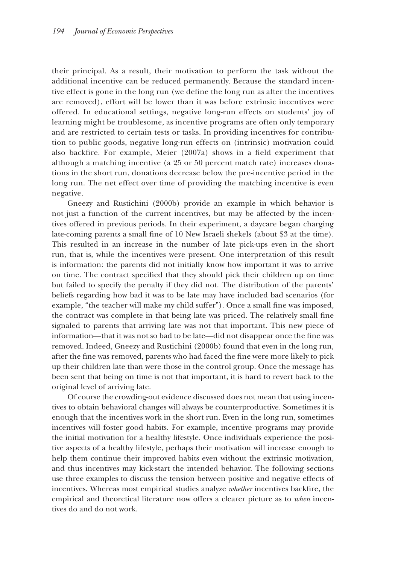their principal. As a result, their motivation to perform the task without the additional incentive can be reduced permanently. Because the standard incentive effect is gone in the long run (we define the long run as after the incentives are removed), effort will be lower than it was before extrinsic incentives were offered. In educational settings, negative long-run effects on students' joy of ffered. In educational settings, negative long-run effects on students' joy of learning might be troublesome, as incentive programs are often only temporary and are restricted to certain tests or tasks. In providing incentives for contribution to public goods, negative long-run effects on (intrinsic) motivation could also backfire. For example, Meier  $(2007a)$  shows in a field experiment that although a matching incentive (a  $25$  or  $50$  percent match rate) increases donations in the short run, donations decrease below the pre-incentive period in the long run. The net effect over time of providing the matching incentive is even negative.

Gneezy and Rustichini (2000b) provide an example in which behavior is not just a function of the current incentives, but may be affected by the incentives offered in previous periods. In their experiment, a daycare began charging late-coming parents a small fine of 10 New Israeli shekels (about  $$3$  at the time). This resulted in an increase in the number of late pick-ups even in the short his resulted in an increase in the number of late pick-ups even in the short run, that is, while the incentives were present. One interpretation of this result is information: the parents did not initially know how important it was to arrive on time. The contract specified that they should pick their children up on time but failed to specify the penalty if they did not. The distribution of the parents' beliefs regarding how bad it was to be late may have included bad scenarios (for example, "the teacher will make my child suffer"). Once a small fine was imposed, the contract was complete in that being late was priced. The relatively small fine signaled to parents that arriving late was not that important. This new piece of information—that it was not so bad to be late—did not disappear once the fine was removed. Indeed, Gneezy and Rustichini (2000b) found that even in the long run, after the fine was removed, parents who had faced the fine were more likely to pick up their children late than were those in the control group. Once the message has been sent that being on time is not that important, it is hard to revert back to the original level of arriving late.

Of course the crowding-out evidence discussed does not mean that using incentives to obtain behavioral changes will always be counterproductive. Sometimes it is enough that the incentives work in the short run. Even in the long run, sometimes incentives will foster good habits. For example, incentive programs may provide the initial motivation for a healthy lifestyle. Once individuals experience the posi- he initial motivation for a healthy lifestyle. Once individuals experience the positive aspects of a healthy lifestyle, perhaps their motivation will increase enough to help them continue their improved habits even without the extrinsic motivation, and thus incentives may kick-start the intended behavior. The following sections use three examples to discuss the tension between positive and negative effects of incentives. Whereas most empirical studies analyze *whether* incentives backfire, the empirical and theoretical literature now offers a clearer picture as to mpirical and theoretical literature now offers a clearer picture as to *when* incentives do and do not work.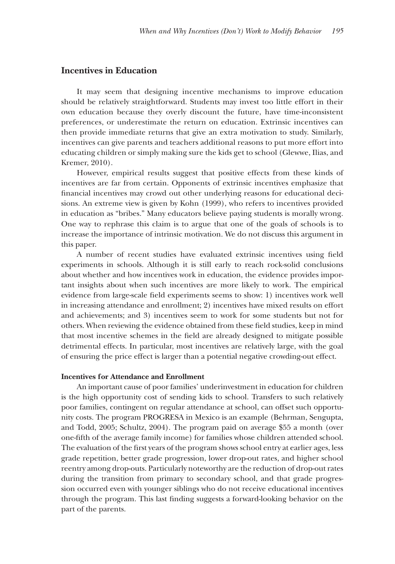## **Incentives** in Education

It may seem that designing incentive mechanisms to improve education should be relatively straightforward. Students may invest too little effort in their own education because they overly discount the future, have time-inconsistent preferences, or underestimate the return on education. Extrinsic incentives can references, or underestimate the return on education. Extrinsic incentives can then provide immediate returns that give an extra motivation to study. Similarly, incentives can give parents and teachers additional reasons to put more effort into educating children or simply making sure the kids get to school (Glewwe, Ilias, and Kremer, 2010).

However, empirical results suggest that positive effects from these kinds of incentives are far from certain. Opponents of extrinsic incentives emphasize that financial incentives may crowd out other underlying reasons for educational decisions. An extreme view is given by Kohn (1999), who refers to incentives provided in education as "bribes." Many educators believe paying students is morally wrong. One way to rephrase this claim is to argue that one of the goals of schools is to increase the importance of intrinsic motivation. We do not discuss this argument in this paper.

A number of recent studies have evaluated extrinsic incentives using field experiments in schools. Although it is still early to reach rock-solid conclusions about whether and how incentives work in education, the evidence provides important insights about when such incentives are more likely to work. The empirical evidence from large-scale field experiments seems to show: 1) incentives work well in increasing attendance and enrollment; 2) incentives have mixed results on effort and achievements; and 3) incentives seem to work for some students but not for others. When reviewing the evidence obtained from these field studies, keep in mind that most incentive schemes in the field are already designed to mitigate possible detrimental effects. In particular, most incentives are relatively large, with the goal of ensuring the price effect is larger than a potential negative crowding-out effect.

## **Incentives for Attendance and Enrollment**

An important cause of poor families' underinvestment in education for children is the high opportunity cost of sending kids to school. Transfers to such relatively poor families, contingent on regular attendance at school, can offset such opportunity costs. The program PROGRESA in Mexico is an example (Behrman, Sengupta, and Todd, 2005; Schultz, 2004). The program paid on average  $$55$  a month (over one-fifth of the average family income) for families whose children attended school. The evaluation of the first years of the program shows school entry at earlier ages, less grade repetition, better grade progression, lower drop-out rates, and higher school reentry among drop-outs. Particularly noteworthy are the reduction of drop-out rates during the transition from primary to secondary school, and that grade progression occurred even with younger siblings who do not receive educational incentives through the program. This last finding suggests a forward-looking behavior on the part of the parents.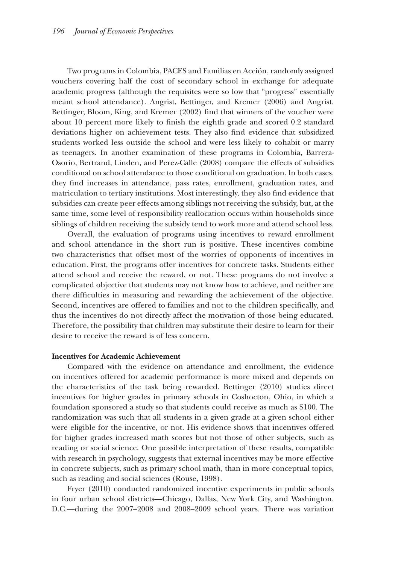Two programs in Colombia, PACES and Familias en Acción, randomly assigned vouchers covering half the cost of secondary school in exchange for adequate academic progress (although the requisites were so low that "progress" essentially meant school attendance). Angrist, Bettinger, and Kremer (2006) and Angrist, Bettinger, Bloom, King, and Kremer (2002) find that winners of the voucher were about 10 percent more likely to finish the eighth grade and scored 0.2 standard deviations higher on achievement tests. They also find evidence that subsidized students worked less outside the school and were less likely to cohabit or marry tudents worked less outside the school and were less likely to cohabit or marry as teenagers. In another examination of these programs in Colombia, Barrera-Osorio, Bertrand, Linden, and Perez-Calle (2008) compare the effects of subsidies conditional on school attendance to those conditional on graduation. In both cases, they find increases in attendance, pass rates, enrollment, graduation rates, and matriculation to tertiary institutions. Most interestingly, they also find evidence that subsidies can create peer effects among siblings not receiving the subsidy, but, at the same time, some level of responsibility reallocation occurs within households since siblings of children receiving the subsidy tend to work more and attend school less.

Overall, the evaluation of programs using incentives to reward enrollment and school attendance in the short run is positive. These incentives combine two characteristics that offset most of the worries of opponents of incentives in education. First, the programs offer incentives for concrete tasks. Students either attend school and receive the reward, or not. These programs do not involve a complicated objective that students may not know how to achieve, and neither are there difficulties in measuring and rewarding the achievement of the objective. Second, incentives are offered to families and not to the children specifically, and thus the incentives do not directly affect the motivation of those being educated. Therefore, the possibility that children may substitute their desire to learn for their desire to receive the reward is of less concern.

## **Incentives for Academic Achievement**

Compared with the evidence on attendance and enrollment, the evidence on incentives offered for academic performance is more mixed and depends on the characteristics of the task being rewarded. Bettinger (2010) studies direct he characteristics of the task being rewarded. Bettinger (2010) studies direct incentives for higher grades in primary schools in Coshocton, Ohio, in which a foundation sponsored a study so that students could receive as much as \$100. The randomization was such that all students in a given grade at a given school either were eligible for the incentive, or not. His evidence shows that incentives offered for higher grades increased math scores but not those of other subjects, such as reading or social science. One possible interpretation of these results, compatible with research in psychology, suggests that external incentives may be more effective in concrete subjects, such as primary school math, than in more conceptual topics, such as reading and social sciences (Rouse, 1998).

Fryer (2010) conducted randomized incentive experiments in public schools in four urban school districts—Chicago, Dallas, New York City, and Washington, D.C.—during the 2007–2008 and 2008–2009 school years. There was variation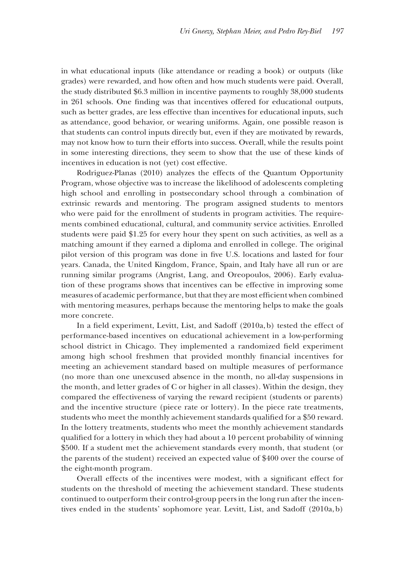in what educational inputs (like attendance or reading a book) or outputs (like grades) were rewarded, and how often and how much students were paid. Overall, the study distributed  $$6.3$  million in incentive payments to roughly  $38,000$  students in 261 schools. One finding was that incentives offered for educational outputs, such as better grades, are less effective than incentives for educational inputs, such as attendance, good behavior, or wearing uniforms. Again, one possible reason is that students can control inputs directly but, even if they are motivated by rewards, may not know how to turn their efforts into success. Overall, while the results point in some interesting directions, they seem to show that the use of these kinds of incentives in education is not (yet) cost effective.

Rodriguez-Planas (2010) analyzes the effects of the Quantum Opportunity Program, whose objective was to increase the likelihood of adolescents completing high school and enrolling in postsecondary school through a combination of extrinsic rewards and mentoring. The program assigned students to mentors who were paid for the enrollment of students in program activities. The requirements combined educational, cultural, and community service activities. Enrolled students were paid  $$1.25$  for every hour they spent on such activities, as well as a matching amount if they earned a diploma and enrolled in college. The original pilot version of this program was done in five U.S. locations and lasted for four years. Canada, the United Kingdom, France, Spain, and Italy have all run or are running similar programs (Angrist, Lang, and Oreopoulos, 2006). Early evaluation of these programs shows that incentives can be effective in improving some measures of academic performance, but that they are most efficient when combined with mentoring measures, perhaps because the mentoring helps to make the goals more concrete.

In a field experiment, Levitt, List, and Sadoff  $(2010a, b)$  tested the effect of performance-based incentives on educational achievement in a low-performing school district in Chicago. They implemented a randomized field experiment among high school freshmen that provided monthly financial incentives for meeting an achievement standard based on multiple measures of performance (no more than one unexcused absence in the month, no all-day suspensions in the month, and letter grades of C or higher in all classes). Within the design, they compared the effectiveness of varying the reward recipient (students or parents) and the incentive structure (piece rate or lottery). In the piece rate treatments, students who meet the monthly achievement standards qualified for a  $$50$  reward. In the lottery treatments, students who meet the monthly achievement standards qualified for a lottery in which they had about a 10 percent probability of winning \$500. If a student met the achievement standards every month, that student (or 500. If a student met the achievement standards every month, that student (or the parents of the student) received an expected value of \$400 over the course of the eight-month program.

Overall effects of the incentives were modest, with a significant effect for students on the threshold of meeting the achievement standard. These students continued to outperform their control-group peers in the long run after the incentives ended in the students' sophomore year. Levitt, List, and Sadoff  $(2010a, b)$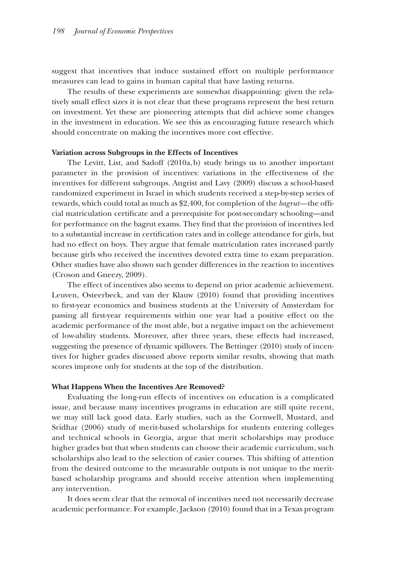suggest that incentives that induce sustained effort on multiple performance measures can lead to gains in human capital that have lasting returns.

The results of these experiments are somewhat disappointing: given the relatively small effect sizes it is not clear that these programs represent the best return on investment. Yet these are pioneering attempts that did achieve some changes in the investment in education. We see this as encouraging future research which should concentrate on making the incentives more cost effective.

#### **Variation across Subgroups in the Effects of Incentives ariation across Subgroups in the Effects of Incentives**

The Levitt, List, and Sadoff  $(2010a, b)$  study brings us to another important parameter in the provision of incentives: variations in the effectiveness of the incentives for different subgroups. Angrist and Lavy (2009) discuss a school-based randomized experiment in Israel in which students received a step-by-step series of rewards, which could total as much as \$2,400, for completion of the *bagrut*—the official matriculation certificate and a prerequisite for post-secondary schooling—and for performance on the bagrut exams. They find that the provision of incentives led to a substantial increase in certification rates and in college attendance for girls, but had no effect on boys. They argue that female matriculation rates increased partly because girls who received the incentives devoted extra time to exam preparation. Other studies have also shown such gender differences in the reaction to incentives (Croson and Gneezy, 2009).

The effect of incentives also seems to depend on prior academic achievement. Leuven, Osteerbeck, and van der Klauw (2010) found that providing incentives to first-year economics and business students at the University of Amsterdam for passing all first-year requirements within one year had a positive effect on the academic performance of the most able, but a negative impact on the achievement of low-ability students. Moreover, after three years, these effects had increased, suggesting the presence of dynamic spillovers. The Bettinger (2010) study of incentives for higher grades discussed above reports similar results, showing that math scores improve only for students at the top of the distribution.

#### **What Happens When the Incentives Are Removed?**

Evaluating the long-run effects of incentives on education is a complicated issue, and because many incentives programs in education are still quite recent, we may still lack good data. Early studies, such as the Cornwell, Mustard, and Sridhar (2006) study of merit-based scholarships for students entering colleges and technical schools in Georgia, argue that merit scholarships may produce higher grades but that when students can choose their academic curriculum, such igher grades but that when students can choose their academic curriculum, such scholarships also lead to the selection of easier courses. This shifting of attention from the desired outcome to the measurable outputs is not unique to the meritbased scholarship programs and should receive attention when implementing any intervention.

It does seem clear that the removal of incentives need not necessarily decrease academic performance. For example, Jackson (2010) found that in a Texas program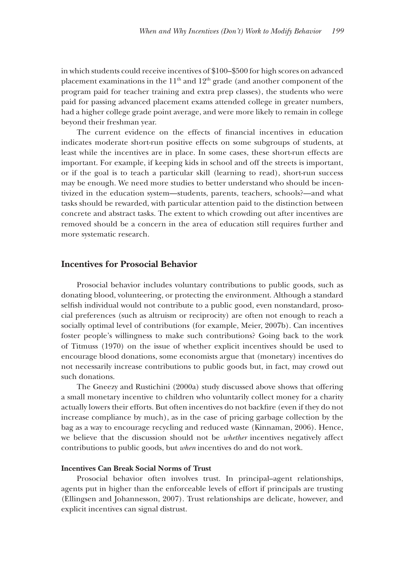in which students could receive incentives of  $$100-$500$  for high scores on advanced placement examinations in the  $11<sup>th</sup>$  and  $12<sup>th</sup>$  grade (and another component of the program paid for teacher training and extra prep classes), the students who were paid for passing advanced placement exams attended college in greater numbers, had a higher college grade point average, and were more likely to remain in college beyond their freshman year.

The current evidence on the effects of financial incentives in education indicates moderate short-run positive effects on some subgroups of students, at least while the incentives are in place. In some cases, these short-run effects are important. For example, if keeping kids in school and off the streets is important, or if the goal is to teach a particular skill (learning to read), short-run success may be enough. We need more studies to better understand who should be incentivized in the education system—students, parents, teachers, schools?—and what tasks should be rewarded, with particular attention paid to the distinction between concrete and abstract tasks. The extent to which crowding out after incentives are removed should be a concern in the area of education still requires further and more systematic research.

## **Incentives for Prosocial Behavior**

Prosocial behavior includes voluntary contributions to public goods, such as donating blood, volunteering, or protecting the environment. Although a standard selfish individual would not contribute to a public good, even nonstandard, prosocial preferences (such as altruism or reciprocity) are often not enough to reach a socially optimal level of contributions (for example, Meier, 2007b). Can incentives foster people's willingness to make such contributions? Going back to the work of Titmuss  $(1970)$  on the issue of whether explicit incentives should be used to encourage blood donations, some economists argue that (monetary) incentives do ncourage blood donations, some economists argue that (monetary) incentives do not necessarily increase contributions to public goods but, in fact, may crowd out such donations.

The Gneezy and Rustichini (2000a) study discussed above shows that offering he Gneezy and Rustichini (2000a) study discussed above shows that offering a small monetary incentive to children who voluntarily collect money for a charity actually lowers their efforts. But often incentives do not backfire (even if they do not increase compliance by much), as in the case of pricing garbage collection by the bag as a way to encourage recycling and reduced waste (Kinnaman, 2006). Hence, we believe that the discussion should not be *whether* incentives negatively affect contributions to public goods, but *when* incentives do and do not work.

#### **Incentives Can Break Social Norms of Trust**

Prosocial behavior often involves trust. In principal–agent relationships, agents put in higher than the enforceable levels of effort if principals are trusting (Ellingsen and Johannesson, 2007). Trust relationships are delicate, however, and explicit incentives can signal distrust.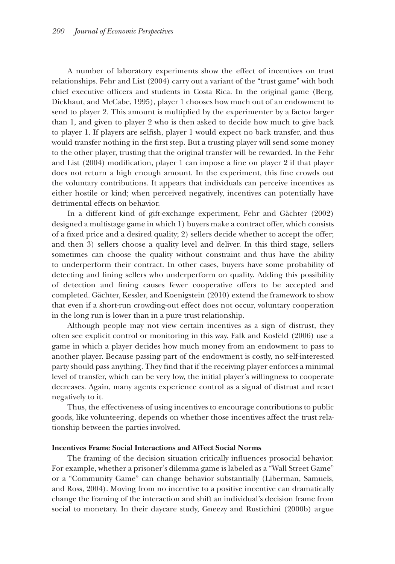A number of laboratory experiments show the effect of incentives on trust relationships. Fehr and List (2004) carry out a variant of the "trust game" with both chief executive officers and students in Costa Rica. In the original game (Berg, Dickhaut, and McCabe, 1995), player 1 chooses how much out of an endowment to send to player 2. This amount is multiplied by the experimenter by a factor larger than 1, and given to player 2 who is then asked to decide how much to give back han 1, and given to player 2 who is then asked to decide how much to give back to player 1. If players are selfish, player 1 would expect no back transfer, and thus would transfer nothing in the first step. But a trusting player will send some money to the other player, trusting that the original transfer will be rewarded. In the Fehr and List  $(2004)$  modification, player 1 can impose a fine on player 2 if that player does not return a high enough amount. In the experiment, this fine crowds out the voluntary contributions. It appears that individuals can perceive incentives as either hostile or kind; when perceived negatively, incentives can potentially have detrimental effects on behavior.

In a different kind of gift-exchange experiment, Fehr and Gächter (2002) designed a multistage game in which 1) buyers make a contract offer, which consists of a fixed price and a desired quality; 2) sellers decide whether to accept the offer; and then 3) sellers choose a quality level and deliver. In this third stage, sellers sometimes can choose the quality without constraint and thus have the ability to underperform their contract. In other cases, buyers have some probability of detecting and fining sellers who underperform on quality. Adding this possibility of detection and fining causes fewer cooperative offers to be accepted and completed. Gächter, Kessler, and Koenigstein (2010) extend the framework to show that even if a short-run crowding-out effect does not occur, voluntary cooperation hat even if a short-run crowding-out effect does not occur, voluntary cooperation in the long run is lower than in a pure trust relationship.

Although people may not view certain incentives as a sign of distrust, they often see explicit control or monitoring in this way. Falk and Kosfeld (2006) use a game in which a player decides how much money from an endowment to pass to another player. Because passing part of the endowment is costly, no self-interested party should pass anything. They find that if the receiving player enforces a minimal level of transfer, which can be very low, the initial player's willingness to cooperate decreases. Again, many agents experience control as a signal of distrust and react negatively to it.

Thus, the effectiveness of using incentives to encourage contributions to public hus, the effectiveness of using incentives to encourage contributions to public goods, like volunteering, depends on whether those incentives affect the trust relationship between the parties involved.

## **Incentives Frame Social Interactions and Affect Social Norms ncentives Frame Social Interactions and Affect Social**

The framing of the decision situation critically influences prosocial behavior. For example, whether a prisoner's dilemma game is labeled as a "Wall Street Game" or a "Community Game" can change behavior substantially (Liberman, Samuels, and Ross, 2004). Moving from no incentive to a positive incentive can dramatically change the framing of the interaction and shift an individual's decision frame from social to monetary. In their daycare study, Gneezy and Rustichini (2000b) argue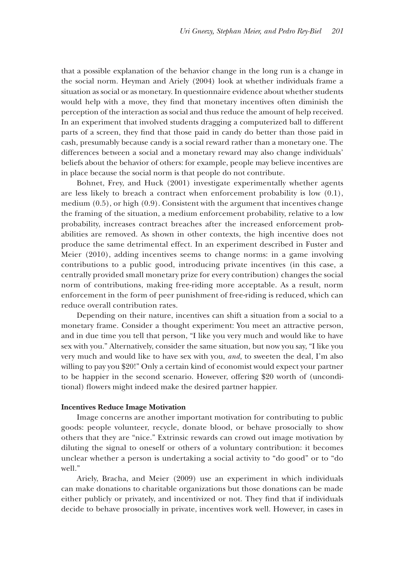that a possible explanation of the behavior change in the long run is a change in hat a possible explanation of the behavior change in the long run is a change in the social norm. Heyman and Ariely (2004) look at whether individuals frame a situation as social or as monetary. In questionnaire evidence about whether students would help with a move, they find that monetary incentives often diminish the perception of the interaction as social and thus reduce the amount of help received. In an experiment that involved students dragging a computerized ball to different parts of a screen, they find that those paid in candy do better than those paid in cash, presumably because candy is a social reward rather than a monetary one. The differences between a social and a monetary reward may also change individuals' ifferences between a social and a monetary reward may also change individuals' beliefs about the behavior of others: for example, people may believe incentives are in place because the social norm is that people do not contribute.

Bohnet, Frey, and Huck (2001) investigate experimentally whether agents are less likely to breach a contract when enforcement probability is low  $(0.1)$ , medium  $(0.5)$ , or high  $(0.9)$ . Consistent with the argument that incentives change the framing of the situation, a medium enforcement probability, relative to a low he framing of the situation, a medium enforcement probability, relative to a low probability, increases contract breaches after the increased enforcement prob- robability, increases contract breaches after the increased enforcement probabilities are removed. As shown in other contexts, the high incentive does not produce the same detrimental effect. In an experiment described in Fuster and Meier  $(2010)$ , adding incentives seems to change norms: in a game involving contributions to a public good, introducing private incentives (in this case, a centrally provided small monetary prize for every contribution) changes the social norm of contributions, making free-riding more acceptable. As a result, norm enforcement in the form of peer punishment of free-riding is reduced, which can reduce overall contribution rates.

Depending on their nature, incentives can shift a situation from a social to a monetary frame. Consider a thought experiment: You meet an attractive person, and in due time you tell that person, "I like you very much and would like to have sex with you." Alternatively, consider the same situation, but now you say, "I like you very much and would like to have sex with you, and, to sweeten the deal, I'm also willing to pay you \$20!" Only a certain kind of economist would expect your partner to be happier in the second scenario. However, offering \$20 worth of (unconditional) flowers might indeed make the desired partner happier.

## **Incentives Reduce Image Motivation**

Image concerns are another important motivation for contributing to public mage concerns are another important motivation for contributing to public goods: people volunteer, recycle, donate blood, or behave prosocially to show others that they are "nice." Extrinsic rewards can crowd out image motivation by diluting the signal to oneself or others of a voluntary contribution: it becomes unclear whether a person is undertaking a social activity to "do good" or to "do nclear whether a person is undertaking a social activity to "do good" or to "do well."

Ariely, Bracha, and Meier (2009) use an experiment in which individuals can make donations to charitable organizations but those donations can be made either publicly or privately, and incentivized or not. They find that if individuals decide to behave prosocially in private, incentives work well. However, in cases in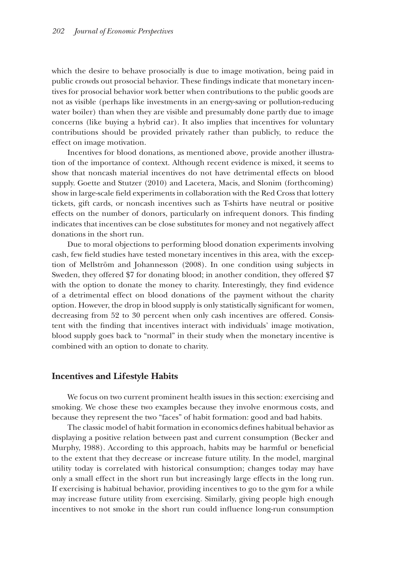which the desire to behave prosocially is due to image motivation, being paid in public crowds out prosocial behavior. These findings indicate that monetary incentives for prosocial behavior work better when contributions to the public goods are not as visible (perhaps like investments in an energy-saving or pollution-reducing water boiler) than when they are visible and presumably done partly due to image concerns (like buying a hybrid car). It also implies that incentives for voluntary contributions should be provided privately rather than publicly, to reduce the effect on image motivation.

Incentives for blood donations, as mentioned above, provide another illustration of the importance of context. Although recent evidence is mixed, it seems to show that noncash material incentives do not have detrimental effects on blood supply. Goette and Stutzer (2010) and Lacetera, Macis, and Slonim (forthcoming) show in large-scale field experiments in collaboration with the Red Cross that lottery tickets, gift cards, or noncash incentives such as T-shirts have neutral or positive effects on the number of donors, particularly on infrequent donors. This finding indicates that incentives can be close substitutes for money and not negatively affect donations in the short run.

Due to moral objections to performing blood donation experiments involving cash, few field studies have tested monetary incentives in this area, with the exception of Mellström and Johannesson (2008). In one condition using subjects in Sweden, they offered \$7 for donating blood; in another condition, they offered \$7 with the option to donate the money to charity. Interestingly, they find evidence of a detrimental effect on blood donations of the payment without the charity option. However, the drop in blood supply is only statistically significant for women, decreasing from 52 to 30 percent when only cash incentives are offered. Consistent with the finding that incentives interact with individuals' image motivation, blood supply goes back to "normal" in their study when the monetary incentive is combined with an option to donate to charity.

## **Incentives and Lifestyle Habits ncentives and Lifestyle**

We focus on two current prominent health issues in this section: exercising and smoking. We chose these two examples because they involve enormous costs, and because they represent the two "faces" of habit formation: good and bad habits.

The classic model of habit formation in economics defines habitual behavior as displaying a positive relation between past and current consumption (Becker and Murphy, 1988). According to this approach, habits may be harmful or beneficial to the extent that they decrease or increase future utility. In the model, marginal utility today is correlated with historical consumption; changes today may have only a small effect in the short run but increasingly large effects in the long run. If exercising is habitual behavior, providing incentives to go to the gym for a while may increase future utility from exercising. Similarly, giving people high enough incentives to not smoke in the short run could influence long-run consumption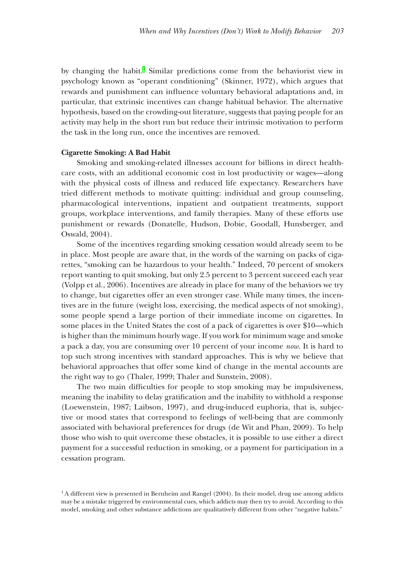by changing the habit.<sup>1</sup> Similar predictions come from the behaviorist view in psychology known as "operant conditioning" (Skinner, 1972), which argues that rewards and punishment can influence voluntary behavioral adaptations and, in particular, that extrinsic incentives can change habitual behavior. The alternative hypothesis, based on the crowding-out literature, suggests that paying people for an activity may help in the short run but reduce their intrinsic motivation to perform the task in the long run, once the incentives are removed.

#### **Cigarette Smoking: A Bad Habit igarette Smoking: A Bad**

Smoking and smoking-related illnesses account for billions in direct health- moking and smoking-related illnesses account for billions in direct healthcare costs, with an additional economic cost in lost productivity or wages—along with the physical costs of illness and reduced life expectancy. Researchers have tried different methods to motivate quitting: individual and group counseling, pharmacological interventions, inpatient and outpatient treatments, support harmacological interventions, inpatient and outpatient treatments, support groups, workplace interventions, and family therapies. Many of these efforts use punishment or rewards (Donatelle, Hudson, Dobie, Goodall, Hunsberger, and Oswald, 2004).

Some of the incentives regarding smoking cessation would already seem to be in place. Most people are aware that, in the words of the warning on packs of cigarettes, "smoking can be hazardous to your health." Indeed, 70 percent of smokers report wanting to quit smoking, but only 2.5 percent to 3 percent succeed each year (Volpp et al., 2006). Incentives are already in place for many of the behaviors we try to change, but cigarettes offer an even stronger case. While many times, the incentives are in the future (weight loss, exercising, the medical aspects of not smoking), some people spend a large portion of their immediate income on cigarettes. In some places in the United States the cost of a pack of cigarettes is over  $$10$ —which is higher than the minimum hourly wage. If you work for minimum wage and smoke a pack a day, you are consuming over 10 percent of your income *now*. It is hard to top such strong incentives with standard approaches. This is why we believe that behavioral approaches that offer some kind of change in the mental accounts are the right way to go (Thaler, 1999; Thaler and Sunstein, 2008).

The two main difficulties for people to stop smoking may be impulsiveness, meaning the inability to delay gratification and the inability to withhold a response (Loewenstein, 1987; Laibson, 1997), and drug-induced euphoria, that is, subjective or mood states that correspond to feelings of well-being that are commonly associated with behavioral preferences for drugs (de Wit and Phan, 2009). To help those who wish to quit overcome these obstacles, it is possible to use either a direct payment for a successful reduction in smoking, or a payment for participation in a cessation program.

 $<sup>1</sup>$  A different view is presented in Bernheim and Rangel (2004). In their model, drug use among addicts</sup> may be a mistake triggered by environmental cues, which addicts may then try to avoid. According to this model, smoking and other substance addictions are qualitatively different from other "negative habits."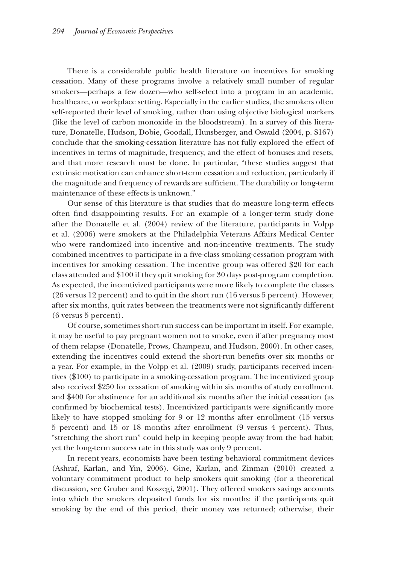There is a considerable public health literature on incentives for smoking cessation. Many of these programs involve a relatively small number of regular smokers—perhaps a few dozen—who self-select into a program in an academic, healthcare, or workplace setting. Especially in the earlier studies, the smokers often self-reported their level of smoking, rather than using objective biological markers (like the level of carbon monoxide in the bloodstream). In a survey of this literature, Donatelle, Hudson, Dobie, Goodall, Hunsberger, and Oswald (2004, p. S167) conclude that the smoking-cessation literature has not fully explored the effect of incentives in terms of magnitude, frequency, and the effect of bonuses and resets, and that more research must be done. In particular, "these studies suggest that extrinsic motivation can enhance short-term cessation and reduction, particularly if the magnitude and frequency of rewards are sufficient. The durability or long-term maintenance of these effects is unknown."

Our sense of this literature is that studies that do measure long-term effects often find disappointing results. For an example of a longer-term study done after the Donatelle et al. (2004) review of the literature, participants in Volpp et al. (2006) were smokers at the Philadelphia Veterans Affairs Medical Center who were randomized into incentive and non-incentive treatments. The study combined incentives to participate in a five-class smoking-cessation program with incentives for smoking cessation. The incentive group was offered \$20 for each class attended and \$100 if they quit smoking for 30 days post-program completion. As expected, the incentivized participants were more likely to complete the classes  $(26 \text{ versus } 12 \text{ percent})$  and to quit in the short run  $(16 \text{ versus } 5 \text{ percent})$ . However, after six months, quit rates between the treatments were not significantly different  $(6$  versus 5 percent).

Of course, sometimes short-run success can be important in itself. For example, it may be useful to pay pregnant women not to smoke, even if after pregnancy most of them relapse (Donatelle, Prows, Champeau, and Hudson, 2000). In other cases, extending the incentives could extend the short-run benefits over six months or a year. For example, in the Volpp et al. (2009) study, participants received incentives (\$100) to participate in a smoking-cessation program. The incentivized group also received \$250 for cessation of smoking within six months of study enrollment, and \$400 for abstinence for an additional six months after the initial cessation (as confirmed by biochemical tests). Incentivized participants were significantly more likely to have stopped smoking for  $9$  or  $12$  months after enrollment (15 versus 5 percent) and 15 or 18 months after enrollment (9 versus 4 percent). Thus, percent) and 15 or 18 months after enrollment (9 versus 4 percent). Thus, "stretching the short run" could help in keeping people away from the bad habit; yet the long-term success rate in this study was only 9 percent.

In recent years, economists have been testing behavioral commitment devices (Ashraf, Karlan, and Yin, 2006). Gine, Karlan, and Zinman (2010) created a voluntary commitment product to help smokers quit smoking (for a theoretical discussion, see Gruber and Koszegi, 2001). They offered smokers savings accounts into which the smokers deposited funds for six months: if the participants quit smoking by the end of this period, their money was returned; otherwise, their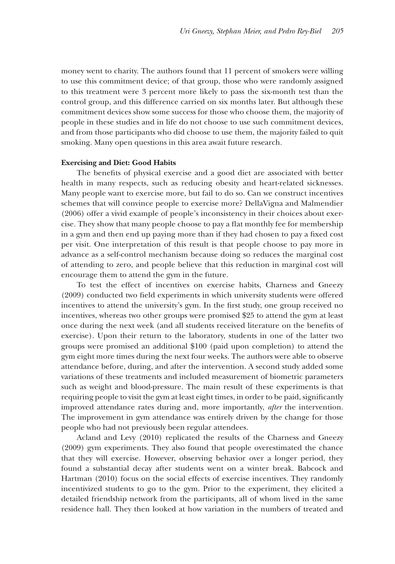money went to charity. The authors found that 11 percent of smokers were willing to use this commitment device; of that group, those who were randomly assigned to this treatment were 3 percent more likely to pass the six-month test than the control group, and this difference carried on six months later. But although these commitment devices show some success for those who choose them, the majority of people in these studies and in life do not choose to use such commitment devices, and from those participants who did choose to use them, the majority failed to quit smoking. Many open questions in this area await future research.

## **Exercising and Diet: Good Habits xercising and Diet: Good**

The benefits of physical exercise and a good diet are associated with better health in many respects, such as reducing obesity and heart-related sicknesses. Many people want to exercise more, but fail to do so. Can we construct incentives schemes that will convince people to exercise more? DellaVigna and Malmendier  $(2006)$  offer a vivid example of people's inconsistency in their choices about exercise. They show that many people choose to pay a flat monthly fee for membership in a gym and then end up paying more than if they had chosen to pay a fixed cost per visit. One interpretation of this result is that people choose to pay more in advance as a self-control mechanism because doing so reduces the marginal cost of attending to zero, and people believe that this reduction in marginal cost will encourage them to attend the gym in the future.

To test the effect of incentives on exercise habits, Charness and Gneezy  $(2009)$  conducted two field experiments in which university students were offered incentives to attend the university's gym. In the first study, one group received no incentives, whereas two other groups were promised \$25 to attend the gym at least once during the next week (and all students received literature on the benefits of exercise). Upon their return to the laboratory, students in one of the latter two groups were promised an additional  $$100$  (paid upon completion) to attend the gym eight more times during the next four weeks. The authors were able to observe attendance before, during, and after the intervention. A second study added some variations of these treatments and included measurement of biometric parameters such as weight and blood-pressure. The main result of these experiments is that requiring people to visit the gym at least eight times, in order to be paid, significantly improved attendance rates during and, more importantly, *after* the intervention. The improvement in gym attendance was entirely driven by the change for those people who had not previously been regular attendees.

Acland and Levy (2010) replicated the results of the Charness and Gneezy (2009) gym experiments. They also found that people overestimated the chance 2009) gym experiments. They also found that people overestimated the chance that they will exercise. However, observing behavior over a longer period, they found a substantial decay after students went on a winter break. Babcock and Hartman  $(2010)$  focus on the social effects of exercise incentives. They randomly incentivized students to go to the gym. Prior to the experiment, they elicited a detailed friendship network from the participants, all of whom lived in the same residence hall. They then looked at how variation in the numbers of treated and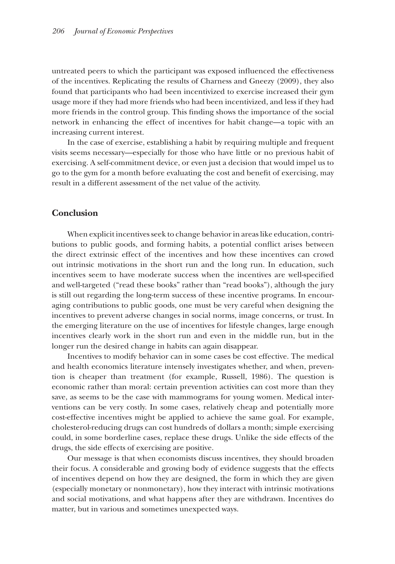untreated peers to which the participant was exposed influenced the effectiveness of the incentives. Replicating the results of Charness and Gneezy (2009), they also found that participants who had been incentivized to exercise increased their gym usage more if they had more friends who had been incentivized, and less if they had more friends in the control group. This finding shows the importance of the social network in enhancing the effect of incentives for habit change—a topic with an increasing current interest.

In the case of exercise, establishing a habit by requiring multiple and frequent visits seems necessary—especially for those who have little or no previous habit of exercising. A self-commitment device, or even just a decision that would impel us to go to the gym for a month before evaluating the cost and benefit of exercising, may result in a different assessment of the net value of the activity.

## **Conclusion onclusion**

When explicit incentives seek to change behavior in areas like education, contributions to public goods, and forming habits, a potential conflict arises between the direct extrinsic effect of the incentives and how these incentives can crowd out intrinsic motivations in the short run and the long run. In education, such incentives seem to have moderate success when the incentives are well-specified and well-targeted ("read these books" rather than "read books"), although the jury is still out regarding the long-term success of these incentive programs. In encouraging contributions to public goods, one must be very careful when designing the incentives to prevent adverse changes in social norms, image concerns, or trust. In the emerging literature on the use of incentives for lifestyle changes, large enough incentives clearly work in the short run and even in the middle run, but in the longer run the desired change in habits can again disappear.

Incentives to modify behavior can in some cases be cost effective. The medical and health economics literature intensely investigates whether, and when, prevention is cheaper than treatment (for example, Russell, 1986). The question is economic rather than moral: certain prevention activities can cost more than they save, as seems to be the case with mammograms for young women. Medical interventions can be very costly. In some cases, relatively cheap and potentially more cost-effective incentives might be applied to achieve the same goal. For example, cholesterol-reducing drugs can cost hundreds of dollars a month; simple exercising holesterol-reducing drugs can cost hundreds of dollars a month; simple exercising could, in some borderline cases, replace these drugs. Unlike the side effects of the drugs, the side effects of exercising are positive.

Our message is that when economists discuss incentives, they should broaden their focus. A considerable and growing body of evidence suggests that the effects of incentives depend on how they are designed, the form in which they are given (especially monetary or nonmonetary), how they interact with intrinsic motivations and social motivations, and what happens after they are withdrawn. Incentives do matter, but in various and sometimes unexpected ways.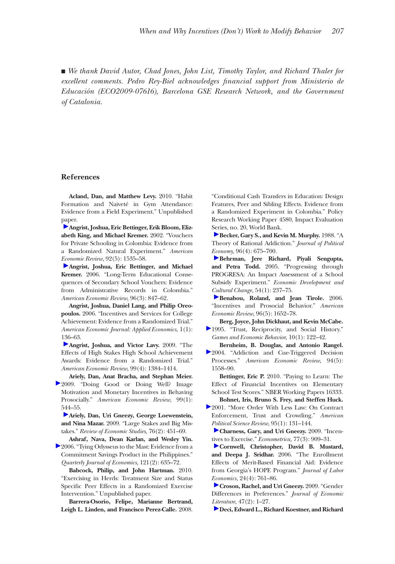■ We thank David Autor, Chad Jones, John List, Timothy Taylor, and Richard Thaler for *excellent comments. Pedro Rey-Biel acknowledges fi xcellent comments. nancial support from Ministerio de Educación (ECO2009-07616), Barcelona GSE Research Network, and the Government of Catalonia.*

## **References**

**Acland, Dan, and Matthew Levy.** 2010. "Habit Formation and Naiveté in Gym Attendance: Evidence from a Field Experiment." Unpublished paper.

**Angrist, Joshua, Eric Bettinger, Erik Bloom, Elizabeth King, and Michael Kremer.** 2002. "Vouchers for Private Schooling in Colombia: Evidence from a Randomized Natural Experiment." *American Economic Review,* 92(5): 1535–58.

**Angrist, Joshua, Eric Bettinger, and Michael Kremer.** 2006. "Long-Term Educational Consequences of Secondary School Vouchers: Evidence from Administrative Records in Colombia." *American Economic Review,* 96(3): 847–62.

**Angrist, Joshua, Daniel Lang, and Philip Oreopoulos.** 2006. "Incentives and Services for College Achievement: Evidence from a Randomized Trial." *American Economic Journal: Applied Economics,* 1(1): 136–63.

**Angrist, Joshua, and Victor Lavy.** 2009. "The Effects of High Stakes High School Achievement Awards: Evidence from a Randomized Trial." *American Economic Review,* 99(4): 1384–1414.

**Ariely, Dan, Anat Bracha, and Stephan Meier.**  2009. "Doing Good or Doing Well? Image Motivation and Monetary Incentives in Behaving Prosocially." *American Economic Review,* 99(1): 544–55.

**Ariely, Dan, Uri Gneezy, George Loewenstein, and Nina Mazar.** 2009. "Large Stakes and Big Mistakes." *Review of Economic Studies,* 76(2): 451–69.

**Ashraf, Nava, Dean Karlan, and Wesley Yin.**  2006. "Tying Odysseus to the Mast: Evidence from a Commitment Savings Product in the Philippines." *Quarterly Journal of Economics,* 121(2): 635–72.

**Babcock, Philip, and John Hartman.** 2010. "Exercising in Herds: Treatment Size and Status Specific Peer Effects in a Randomized Exercise Intervention." Unpublished paper.

**Barrera-Osorio, Felipe, Marianne Bertrand, Leigh L. Linden, and Francisco Perez-Calle.** 2008. "Conditional Cash Transfers in Education: Design Features, Peer and Sibling Effects. Evidence from a Randomized Experiment in Colombia." Policy Research Working Paper 4580, Impact Evaluation Series, no. 20, World Bank.

**Becker, Gary S., and Kevin M. Murphy.** 1988. "A Theory of Rational Addiction." *Journal of Political Economy,* 96(4): 675–700.

**Behrman, Jere Richard, Piyali Sengupta, and Petra Todd.** 2005. "Progressing through PROGRESA: An Impact Assessment of a School Subsidy Experiment." *Economic Development and Cultural Change,* 54(1): 237–75.

**Benabou, Roland, and Jean Tirole.** 2006. "Incentives and Prosocial Behavior." *American Economic Review,* 96(5): 1652–78.

**Berg, Joyce, John Dickhaut, and Kevin McCabe.**  1995. "Trust, Reciprocity, and Social History." *Games and Economic Behavior,* 10(1): 122–42.

**Bernheim, B. Douglas, and Antonio Rangel.**  2004. "Addiction and Cue-Triggered Decision Processes." *American Economic Review,* 94(5): 1558–90.

Bettinger, Eric P. 2010. "Paying to Learn: The Effect of Financial Incentives on Elementary School Test Scores." NBER Working Papers 16333. **Bohnet, Iris, Bruno S. Frey, and Steffen Huck.** 

2001. "More Order With Less Law: On Contract Enforcement, Trust and Crowding." *American Political Science Review,* 95(1): 131–144.

**Charness, Gary, and Uri Gneezy.** 2009. "Incentives to Exercise." *Econometrica,* 77(3): 909–31.

**Cornwell, Christopher, David B. Mustard, and Deepa J. Sridhar.** 2006. "The Enrollment Effects of Merit-Based Financial Aid: Evidence from Georgia's HOPE Program." *Journal of Labor Economics,* 24(4): 761–86.

**Croson, Rachel, and Uri Gneezy.** 2009. "Gender Differences in Preferences." *Journal of Economic Literature,* 47(2): 1–27.

**Deci, Edward L., Richard Koestner, and Richard**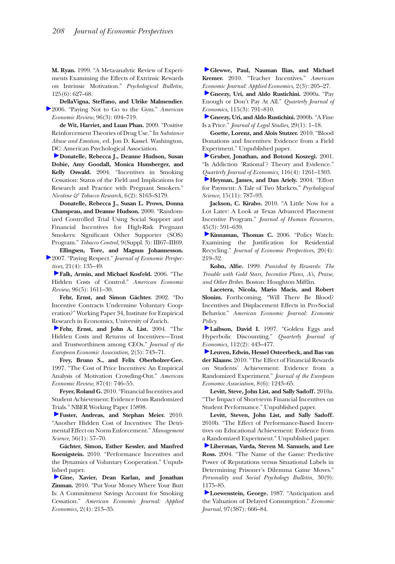**M. Ryan.** 1999. "A Meta-analytic Review of Experiments Examining the Effects of Extrinsic Rewards on Intrinsic Motivation." *Psychological Bulletin,*  125(6): 627–68.

**DellaVigna, Steffano, and Ulrike Malmendier.**  2006. "Paying Not to Go to the Gym." *American Economic Review,* 96(3): 694–719.

**de Wit, Harriet, and Luan Phan.** 2009. "Positive Reinforcement Theories of Drug Use." In *Substance Abuse and Emotion,* ed. Jon D. Kassel. Washington, DC: American Psychological Association.

**Donatelle, Rebecca J., Deanne Hudson, Susan Dobie, Amy Goodall, Monica Hunsberger, and Kelly Oswald.** 2004. "Incentives in Smoking Cessation: Status of the Field and Implications for Research and Practice with Pregnant Smokers." *Nicotine & Tobacco Research,* 6(2): S163–S179.

**Donatelle, Rebecca J., Susan L. Prows, Donna Champeau, and Deanne Hudson.** 2000. "Randomized Controlled Trial Using Social Support and Financial Incentives for High-Risk Pregnant Smokers: Significant Other Supporter (SOS) Program." *Tobacco Control,* 9(Suppl. 3): III67–III69.

**Ellingsen, Tore, and Magnus Johannesson.**  2007. "Paying Respect." *Journal of Economic Perspectives,* 21(4): 135–49.

**Falk, Armin, and Michael Kosfeld.** 2006. "The Hidden Costs of Control." *American Economic Review,* 96(5): 1611–30.

**Fehr, Ernst, and Simon Gächter.** 2002. "Do Incentive Contracts Undermine Voluntary Cooperation?" Working Paper 34, Institute for Empirical Research in Economics, University of Zurich.

**Fehr, Ernst, and John A. List.** 2004. "The Hidden Costs and Returns of Incentives—Trust and Trustworthiness among CEOs." *Journal of the European Economic Association,* 2(5): 743–71.

**Frey, Bruno S., and Felix Oberholzer-Gee.**  1997. "The Cost of Price Incentives: An Empirical Analysis of Motivation Crowding-Out." *American Economic Review,* 87(4): 746–55.

**Fryer, Roland G.** 2010. "Financial Incentives and Student Achievement: Evidence from Randomized Trials." NBER Working Paper 15898.

**Fuster, Andreas, and Stephan Meier.** 2010. "Another Hidden Cost of Incentives: The Detrimental Effect on Norm Enforcement." *Management Science,* 56(1): 57–70.

**Gächter, Simon, Esther Kessler, and Manfred Koenigstein.** 2010. "Performance Incentives and the Dynamics of Voluntary Cooperation." Unpublished paper.

**Gine, Xavier, Dean Karlan, and Jonathan Zinman.** 2010. "Put Your Money Where Your Butt Is: A Commitment Savings Account for Smoking Cessation." *American Economic Journal: Applied Economics,* 2(4): 213–35.

Glewwe, Paul, Nauman Ilias, and Michael **Kremer.** 2010. "Teacher Incentives." *American Economic Journal: Applied Economics,* 2(3): 205–27.

**Gneezy, Uri, and Aldo Rustichini.** 2000a. "Pay Enough or Don't Pay At All." *Quarterly Journal of Economics,* 115(3): 791–810.

**Gneezy, Uri, and Aldo Rustichini.** 2000b. "A Fine Is a Price." *Journal of Legal Studies,* 29(1): 1–18.

**Goette, Lorenz, and Alois Stutzer.** 2010. "Blood Donations and Incentives: Evidence from a Field Experiment." Unpublished paper.

**Gruber, Jonathan, and Botond Koszegi.** 2001. "Is Addiction 'Rational'? Theory and Evidence." *Quarterly Journal of Economics,* 116(4): 1261–1303.

**Heyman, James, and Dan Ariely.** 2004. "Effort for Payment: A Tale of Two Markets." *Psychological Science,* 15(11): 787–93.

**Jackson, C. Kirabo.** 2010. "A Little Now for a Lot Later: A Look at Texas Advanced Placement Incentive Program." *Journal of Human Resources,* 45(3): 591–639.

**Kinnaman, Thomas C.** 2006. "Policy Watch: Examining the Justification for Residential Recycling." *Journal of Economic Perspectives,* 20(4): 219–32.

Kohn, Alfie. 1999. Punished by Rewards: The *Trouble with Gold Stars, Incentive Plans, A's, Praise,*  and Other Bribes. Boston: Houghton Mifflin.

**Lacetera, Nicola, Mario Macis, and Robert Slonim.** Forthcoming. "Will There Be Blood? Incentives and Displacement Effects in Pro-Social Behavior." *American Economic Journal: Economic Policy.*

Laibson, David I. 1997. "Golden Eggs and Hyperbolic Discounting." *Quarterly Journal of Economics,* 112(2): 443–477.

**Leuven, Edwin, Hessel Osteerbeck, and Bas van der Klaauw.** 2010. "The Effect of Financial Rewards on Students' Achievement: Evidence from a Randomized Experiment." *Journal of the European Economic Association,* 8(6): 1243–65.

**Levitt, Steve, John List, and Sally Sadoff.** 2010a. "The Impact of Short-term Financial Incentives on Student Performance." Unpublished paper.

**Levitt, Steven, John List, and Sally Sadoff.**  2010b. "The Effect of Performance-Based Incentives on Educational Achievement: Evidence from a Randomized Experiment." Unpublished paper.

**Liberman, Varda, Steven M. Samuels, and Lee Ross.** 2004. "The Name of the Game: Predictive Power of Reputations versus Situational Labels in Determining Prisoner's Dilemma Game Moves." *Personality and Social Psychology Bulletin,* 30(9): 1175–85.

**Loewenstein, George.** 1987. "Anticipation and the Valuation of Delayed Consumption." *Economic Journal,* 97(387): 666–84.